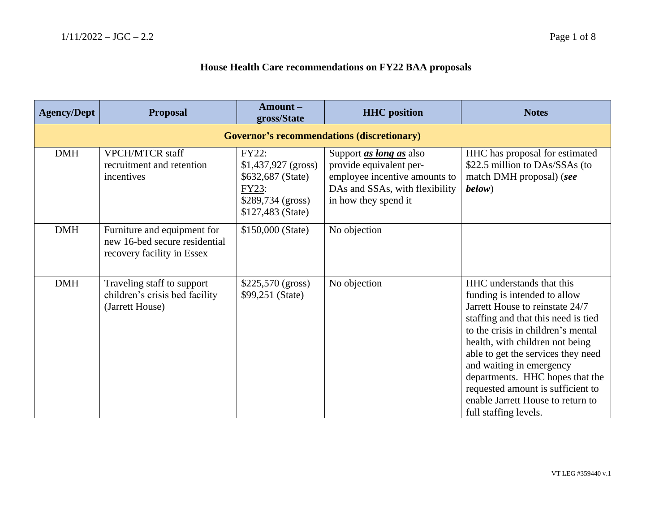## **House Health Care recommendations on FY22 BAA proposals**

| <b>Agency/Dept</b> | <b>Proposal</b>                                                                            | Amount-<br>gross/State                                                                                | <b>HHC</b> position                                                                                                                                  | <b>Notes</b>                                                                                                                                                                                                                                                                                                                                                                                                         |  |  |
|--------------------|--------------------------------------------------------------------------------------------|-------------------------------------------------------------------------------------------------------|------------------------------------------------------------------------------------------------------------------------------------------------------|----------------------------------------------------------------------------------------------------------------------------------------------------------------------------------------------------------------------------------------------------------------------------------------------------------------------------------------------------------------------------------------------------------------------|--|--|
|                    | <b>Governor's recommendations (discretionary)</b>                                          |                                                                                                       |                                                                                                                                                      |                                                                                                                                                                                                                                                                                                                                                                                                                      |  |  |
| <b>DMH</b>         | <b>VPCH/MTCR staff</b><br>recruitment and retention<br>incentives                          | FY22:<br>$$1,437,927$ (gross)<br>\$632,687 (State)<br>FY23:<br>\$289,734 (gross)<br>\$127,483 (State) | Support <i>as long as</i> also<br>provide equivalent per-<br>employee incentive amounts to<br>DAs and SSAs, with flexibility<br>in how they spend it | HHC has proposal for estimated<br>\$22.5 million to DAs/SSAs (to<br>match DMH proposal) (see<br>below)                                                                                                                                                                                                                                                                                                               |  |  |
| <b>DMH</b>         | Furniture and equipment for<br>new 16-bed secure residential<br>recovery facility in Essex | \$150,000 (State)                                                                                     | No objection                                                                                                                                         |                                                                                                                                                                                                                                                                                                                                                                                                                      |  |  |
| <b>DMH</b>         | Traveling staff to support<br>children's crisis bed facility<br>(Jarrett House)            | \$225,570 (gross)<br>\$99,251 (State)                                                                 | No objection                                                                                                                                         | HHC understands that this<br>funding is intended to allow<br>Jarrett House to reinstate 24/7<br>staffing and that this need is tied<br>to the crisis in children's mental<br>health, with children not being<br>able to get the services they need<br>and waiting in emergency<br>departments. HHC hopes that the<br>requested amount is sufficient to<br>enable Jarrett House to return to<br>full staffing levels. |  |  |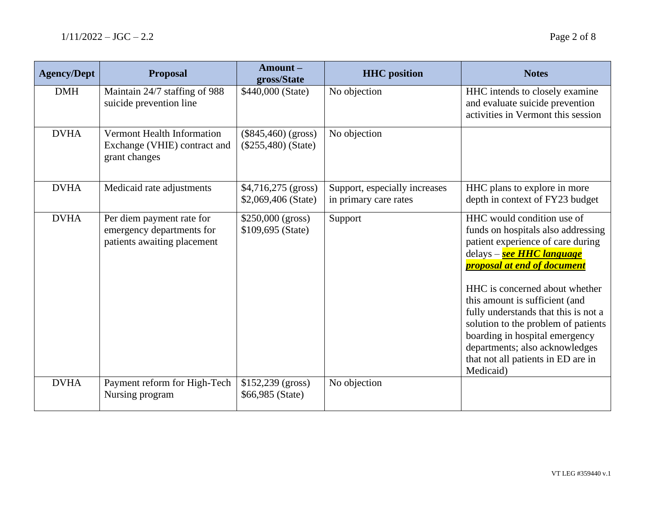| <b>Agency/Dept</b> | <b>Proposal</b>                                                                       | Amount-<br>gross/State                         | <b>HHC</b> position                                    | <b>Notes</b>                                                                                                                                                                                                                                                                                                                                                                                                                                       |
|--------------------|---------------------------------------------------------------------------------------|------------------------------------------------|--------------------------------------------------------|----------------------------------------------------------------------------------------------------------------------------------------------------------------------------------------------------------------------------------------------------------------------------------------------------------------------------------------------------------------------------------------------------------------------------------------------------|
| <b>DMH</b>         | Maintain 24/7 staffing of 988<br>suicide prevention line                              | \$440,000 (State)                              | No objection                                           | HHC intends to closely examine<br>and evaluate suicide prevention<br>activities in Vermont this session                                                                                                                                                                                                                                                                                                                                            |
| <b>DVHA</b>        | Vermont Health Information<br>Exchange (VHIE) contract and<br>grant changes           | $(\$845,460)$ (gross)<br>$(\$255,480)$ (State) | No objection                                           |                                                                                                                                                                                                                                                                                                                                                                                                                                                    |
| <b>DVHA</b>        | Medicaid rate adjustments                                                             | $$4,716,275$ (gross)<br>\$2,069,406 (State)    | Support, especially increases<br>in primary care rates | HHC plans to explore in more<br>depth in context of FY23 budget                                                                                                                                                                                                                                                                                                                                                                                    |
| <b>DVHA</b>        | Per diem payment rate for<br>emergency departments for<br>patients awaiting placement | \$250,000 (gross)<br>\$109,695 (State)         | Support                                                | HHC would condition use of<br>funds on hospitals also addressing<br>patient experience of care during<br>delays – see HHC language<br><u>proposal at end of document</u><br>HHC is concerned about whether<br>this amount is sufficient (and<br>fully understands that this is not a<br>solution to the problem of patients<br>boarding in hospital emergency<br>departments; also acknowledges<br>that not all patients in ED are in<br>Medicaid) |
| <b>DVHA</b>        | Payment reform for High-Tech<br>Nursing program                                       | $$152,239$ (gross)<br>\$66,985 (State)         | No objection                                           |                                                                                                                                                                                                                                                                                                                                                                                                                                                    |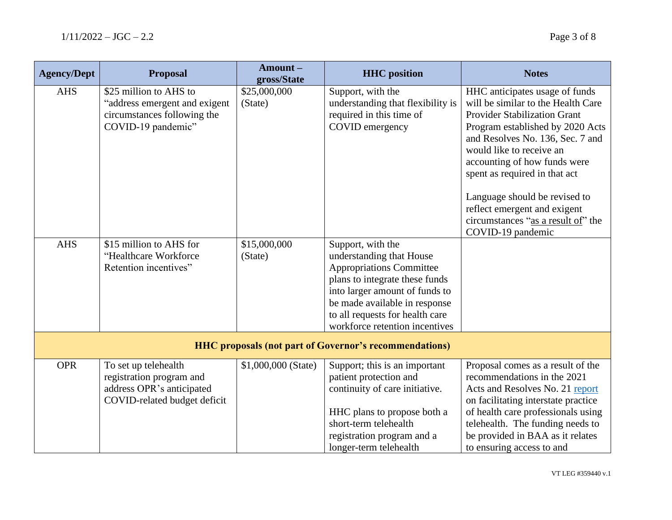| <b>Agency/Dept</b>                                            | <b>Proposal</b>                                                                                               | Amount-<br>gross/State  | <b>HHC</b> position                                                                                                                                                                                                                                        | <b>Notes</b>                                                                                                                                                                                                                                                                          |  |
|---------------------------------------------------------------|---------------------------------------------------------------------------------------------------------------|-------------------------|------------------------------------------------------------------------------------------------------------------------------------------------------------------------------------------------------------------------------------------------------------|---------------------------------------------------------------------------------------------------------------------------------------------------------------------------------------------------------------------------------------------------------------------------------------|--|
| <b>AHS</b>                                                    | \$25 million to AHS to<br>"address emergent and exigent<br>circumstances following the<br>COVID-19 pandemic"  | \$25,000,000<br>(State) | Support, with the<br>understanding that flexibility is<br>required in this time of<br>COVID emergency                                                                                                                                                      | HHC anticipates usage of funds<br>will be similar to the Health Care<br><b>Provider Stabilization Grant</b><br>Program established by 2020 Acts<br>and Resolves No. 136, Sec. 7 and<br>would like to receive an<br>accounting of how funds were<br>spent as required in that act      |  |
|                                                               |                                                                                                               |                         |                                                                                                                                                                                                                                                            | Language should be revised to<br>reflect emergent and exigent<br>circumstances "as a result of" the<br>COVID-19 pandemic                                                                                                                                                              |  |
| <b>AHS</b>                                                    | \$15 million to AHS for<br>"Healthcare Workforce<br>Retention incentives"                                     | \$15,000,000<br>(State) | Support, with the<br>understanding that House<br><b>Appropriations Committee</b><br>plans to integrate these funds<br>into larger amount of funds to<br>be made available in response<br>to all requests for health care<br>workforce retention incentives |                                                                                                                                                                                                                                                                                       |  |
| <b>HHC</b> proposals (not part of Governor's recommendations) |                                                                                                               |                         |                                                                                                                                                                                                                                                            |                                                                                                                                                                                                                                                                                       |  |
| <b>OPR</b>                                                    | To set up telehealth<br>registration program and<br>address OPR's anticipated<br>COVID-related budget deficit | \$1,000,000 (State)     | Support; this is an important<br>patient protection and<br>continuity of care initiative.<br>HHC plans to propose both a<br>short-term telehealth<br>registration program and a<br>longer-term telehealth                                                  | Proposal comes as a result of the<br>recommendations in the 2021<br>Acts and Resolves No. 21 report<br>on facilitating interstate practice<br>of health care professionals using<br>telehealth. The funding needs to<br>be provided in BAA as it relates<br>to ensuring access to and |  |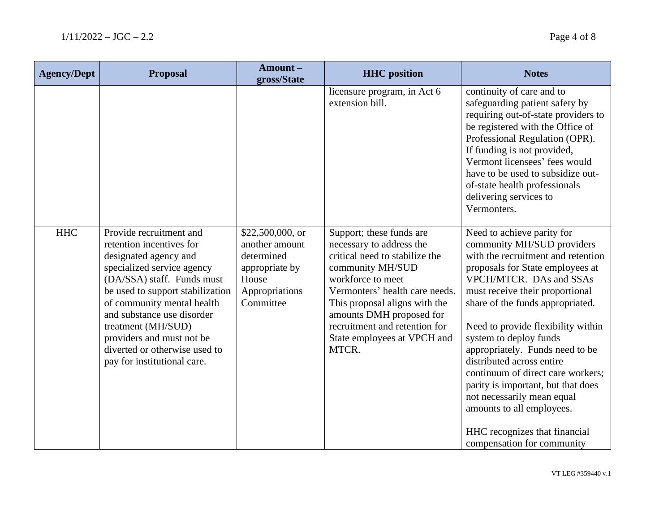| <b>Agency/Dept</b> | <b>Proposal</b>                                                                                                                                                                                                                                                                                                                                             | Amount-<br>gross/State                                                                                     | <b>HHC</b> position                                                                                                                                                                                                                                                                                     | <b>Notes</b>                                                                                                                                                                                                                                                                                                                                                                                                                                                                                                                                |
|--------------------|-------------------------------------------------------------------------------------------------------------------------------------------------------------------------------------------------------------------------------------------------------------------------------------------------------------------------------------------------------------|------------------------------------------------------------------------------------------------------------|---------------------------------------------------------------------------------------------------------------------------------------------------------------------------------------------------------------------------------------------------------------------------------------------------------|---------------------------------------------------------------------------------------------------------------------------------------------------------------------------------------------------------------------------------------------------------------------------------------------------------------------------------------------------------------------------------------------------------------------------------------------------------------------------------------------------------------------------------------------|
|                    |                                                                                                                                                                                                                                                                                                                                                             |                                                                                                            | licensure program, in Act 6<br>extension bill.                                                                                                                                                                                                                                                          | continuity of care and to<br>safeguarding patient safety by<br>requiring out-of-state providers to<br>be registered with the Office of<br>Professional Regulation (OPR).<br>If funding is not provided,<br>Vermont licensees' fees would<br>have to be used to subsidize out-<br>of-state health professionals<br>delivering services to<br>Vermonters.                                                                                                                                                                                     |
| <b>HHC</b>         | Provide recruitment and<br>retention incentives for<br>designated agency and<br>specialized service agency<br>(DA/SSA) staff. Funds must<br>be used to support stabilization<br>of community mental health<br>and substance use disorder<br>treatment (MH/SUD)<br>providers and must not be<br>diverted or otherwise used to<br>pay for institutional care. | \$22,500,000, or<br>another amount<br>determined<br>appropriate by<br>House<br>Appropriations<br>Committee | Support; these funds are<br>necessary to address the<br>critical need to stabilize the<br>community MH/SUD<br>workforce to meet<br>Vermonters' health care needs.<br>This proposal aligns with the<br>amounts DMH proposed for<br>recruitment and retention for<br>State employees at VPCH and<br>MTCR. | Need to achieve parity for<br>community MH/SUD providers<br>with the recruitment and retention<br>proposals for State employees at<br>VPCH/MTCR. DAs and SSAs<br>must receive their proportional<br>share of the funds appropriated.<br>Need to provide flexibility within<br>system to deploy funds<br>appropriately. Funds need to be<br>distributed across entire<br>continuum of direct care workers;<br>parity is important, but that does<br>not necessarily mean equal<br>amounts to all employees.<br>HHC recognizes that financial |
|                    |                                                                                                                                                                                                                                                                                                                                                             |                                                                                                            |                                                                                                                                                                                                                                                                                                         | compensation for community                                                                                                                                                                                                                                                                                                                                                                                                                                                                                                                  |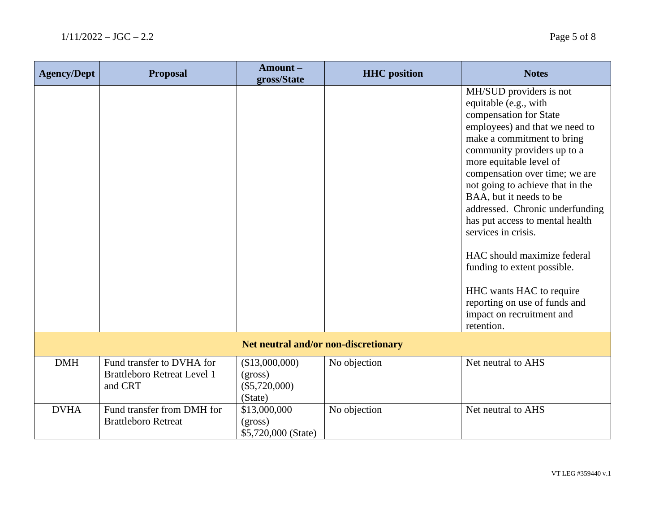| <b>Agency/Dept</b>                   | <b>Proposal</b>                                                            | Amount-<br>gross/State                                  | <b>HHC</b> position | <b>Notes</b>                                                                                                                                                                                                                                                                                                                                                                                                                                                                                                                  |
|--------------------------------------|----------------------------------------------------------------------------|---------------------------------------------------------|---------------------|-------------------------------------------------------------------------------------------------------------------------------------------------------------------------------------------------------------------------------------------------------------------------------------------------------------------------------------------------------------------------------------------------------------------------------------------------------------------------------------------------------------------------------|
|                                      |                                                                            |                                                         |                     | MH/SUD providers is not<br>equitable (e.g., with<br>compensation for State<br>employees) and that we need to<br>make a commitment to bring<br>community providers up to a<br>more equitable level of<br>compensation over time; we are<br>not going to achieve that in the<br>BAA, but it needs to be<br>addressed. Chronic underfunding<br>has put access to mental health<br>services in crisis.<br>HAC should maximize federal<br>funding to extent possible.<br>HHC wants HAC to require<br>reporting on use of funds and |
|                                      |                                                                            |                                                         |                     | impact on recruitment and<br>retention.                                                                                                                                                                                                                                                                                                                                                                                                                                                                                       |
| Net neutral and/or non-discretionary |                                                                            |                                                         |                     |                                                                                                                                                                                                                                                                                                                                                                                                                                                                                                                               |
| <b>DMH</b>                           | Fund transfer to DVHA for<br><b>Brattleboro Retreat Level 1</b><br>and CRT | (\$13,000,000)<br>(gross)<br>$(\$5,720,000)$<br>(State) | No objection        | Net neutral to AHS                                                                                                                                                                                                                                                                                                                                                                                                                                                                                                            |
| <b>DVHA</b>                          | Fund transfer from DMH for<br><b>Brattleboro Retreat</b>                   | \$13,000,000<br>(gross)<br>\$5,720,000 (State)          | No objection        | Net neutral to AHS                                                                                                                                                                                                                                                                                                                                                                                                                                                                                                            |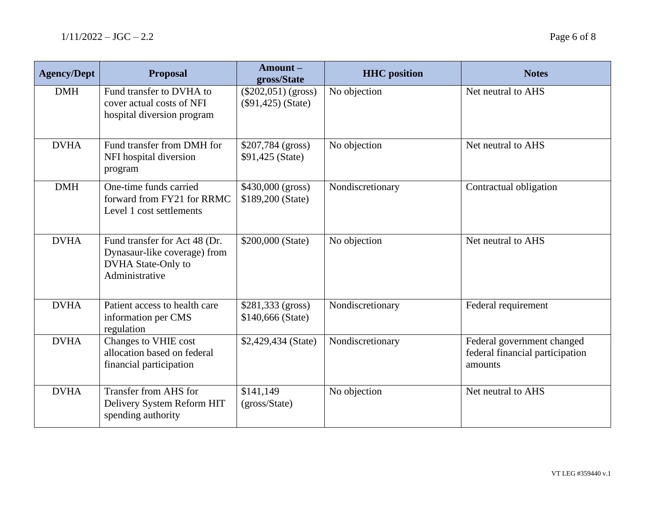| <b>Agency/Dept</b> | <b>Proposal</b>                                                                                       | Amount-<br>gross/State                        | <b>HHC</b> position | <b>Notes</b>                                                             |
|--------------------|-------------------------------------------------------------------------------------------------------|-----------------------------------------------|---------------------|--------------------------------------------------------------------------|
| <b>DMH</b>         | Fund transfer to DVHA to<br>cover actual costs of NFI<br>hospital diversion program                   | $(\$202,051)$ (gross)<br>$(\$91,425)$ (State) | No objection        | Net neutral to AHS                                                       |
| <b>DVHA</b>        | Fund transfer from DMH for<br>NFI hospital diversion<br>program                                       | \$207,784 (gross)<br>\$91,425 (State)         | No objection        | Net neutral to AHS                                                       |
| <b>DMH</b>         | One-time funds carried<br>forward from FY21 for RRMC<br>Level 1 cost settlements                      | \$430,000 (gross)<br>\$189,200 (State)        | Nondiscretionary    | Contractual obligation                                                   |
| <b>DVHA</b>        | Fund transfer for Act 48 (Dr.<br>Dynasaur-like coverage) from<br>DVHA State-Only to<br>Administrative | \$200,000 (State)                             | No objection        | Net neutral to AHS                                                       |
| <b>DVHA</b>        | Patient access to health care<br>information per CMS<br>regulation                                    | $$281,333$ (gross)<br>\$140,666 (State)       | Nondiscretionary    | Federal requirement                                                      |
| <b>DVHA</b>        | Changes to VHIE cost<br>allocation based on federal<br>financial participation                        | \$2,429,434 (State)                           | Nondiscretionary    | Federal government changed<br>federal financial participation<br>amounts |
| <b>DVHA</b>        | Transfer from AHS for<br>Delivery System Reform HIT<br>spending authority                             | \$141,149<br>(gross/State)                    | No objection        | Net neutral to AHS                                                       |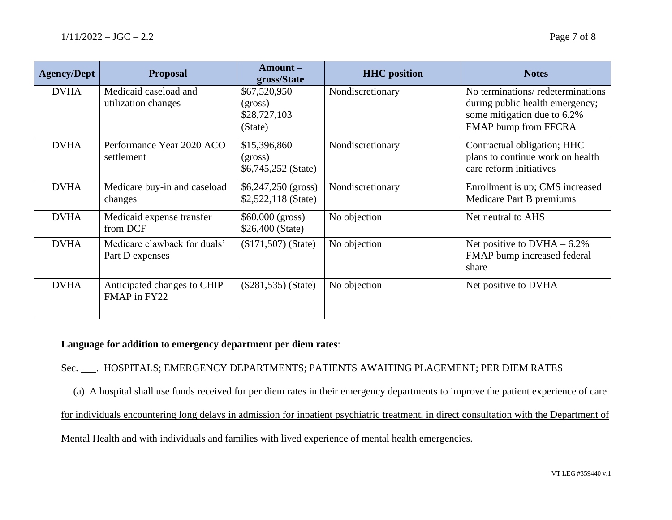| <b>Agency/Dept</b> | <b>Proposal</b>                                 | $A$ mount $-$<br>gross/State                       | <b>HHC</b> position | <b>Notes</b>                                                                                                               |
|--------------------|-------------------------------------------------|----------------------------------------------------|---------------------|----------------------------------------------------------------------------------------------------------------------------|
| <b>DVHA</b>        | Medicaid caseload and<br>utilization changes    | \$67,520,950<br>(gross)<br>\$28,727,103<br>(State) | Nondiscretionary    | No terminations/redeterminations<br>during public health emergency;<br>some mitigation due to 6.2%<br>FMAP bump from FFCRA |
| <b>DVHA</b>        | Performance Year 2020 ACO<br>settlement         | \$15,396,860<br>(gross)<br>\$6,745,252 (State)     | Nondiscretionary    | Contractual obligation; HHC<br>plans to continue work on health<br>care reform initiatives                                 |
| <b>DVHA</b>        | Medicare buy-in and caseload<br>changes         | $$6,247,250$ (gross)<br>\$2,522,118 (State)        | Nondiscretionary    | Enrollment is up; CMS increased<br>Medicare Part B premiums                                                                |
| <b>DVHA</b>        | Medicaid expense transfer<br>from DCF           | \$60,000 (gross)<br>\$26,400 (State)               | No objection        | Net neutral to AHS                                                                                                         |
| <b>DVHA</b>        | Medicare clawback for duals'<br>Part D expenses | $($171,507)$ (State)                               | No objection        | Net positive to $DVHA - 6.2\%$<br>FMAP bump increased federal<br>share                                                     |
| <b>DVHA</b>        | Anticipated changes to CHIP<br>FMAP in FY22     | $(\$281,535)$ (State)                              | No objection        | Net positive to DVHA                                                                                                       |

## **Language for addition to emergency department per diem rates**:

Sec. \_\_\_. HOSPITALS; EMERGENCY DEPARTMENTS; PATIENTS AWAITING PLACEMENT; PER DIEM RATES

(a) A hospital shall use funds received for per diem rates in their emergency departments to improve the patient experience of care

for individuals encountering long delays in admission for inpatient psychiatric treatment, in direct consultation with the Department of

Mental Health and with individuals and families with lived experience of mental health emergencies.